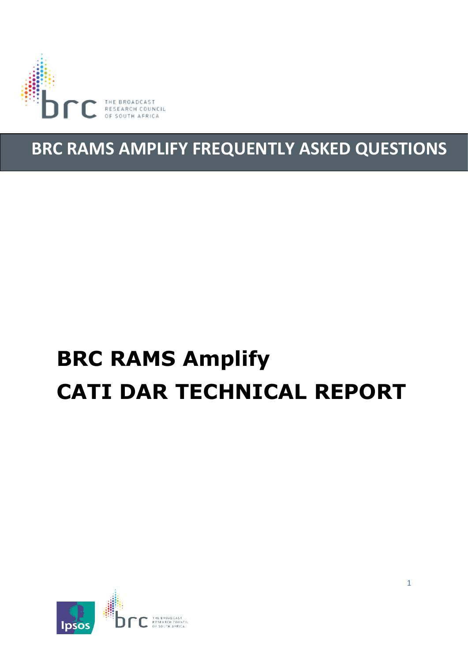

## **BRC RAMS AMPLIFY FREQUENTLY ASKED QUESTIONS**

# **BRC RAMS Amplify CATI DAR TECHNICAL REPORT**

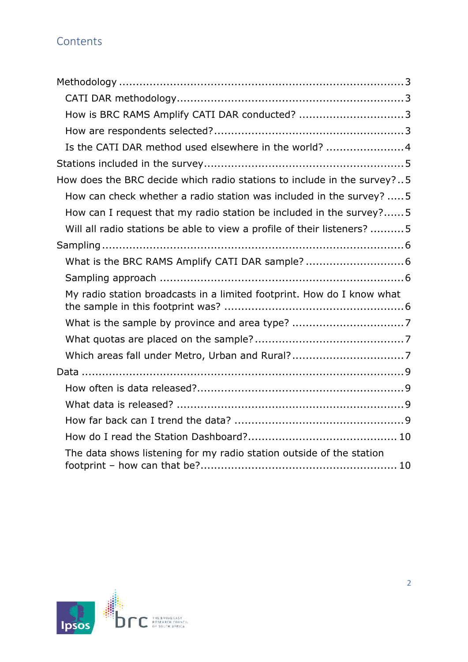### <span id="page-1-0"></span>**Contents**

| How is BRC RAMS Amplify CATI DAR conducted? 3                           |  |
|-------------------------------------------------------------------------|--|
|                                                                         |  |
| Is the CATI DAR method used elsewhere in the world?  4                  |  |
|                                                                         |  |
| How does the BRC decide which radio stations to include in the survey?5 |  |
| How can check whether a radio station was included in the survey?  5    |  |
| How can I request that my radio station be included in the survey?5     |  |
| Will all radio stations be able to view a profile of their listeners? 5 |  |
|                                                                         |  |
|                                                                         |  |
|                                                                         |  |
| My radio station broadcasts in a limited footprint. How do I know what  |  |
|                                                                         |  |
|                                                                         |  |
|                                                                         |  |
|                                                                         |  |
|                                                                         |  |
|                                                                         |  |
|                                                                         |  |
|                                                                         |  |
| The data shows listening for my radio station outside of the station    |  |

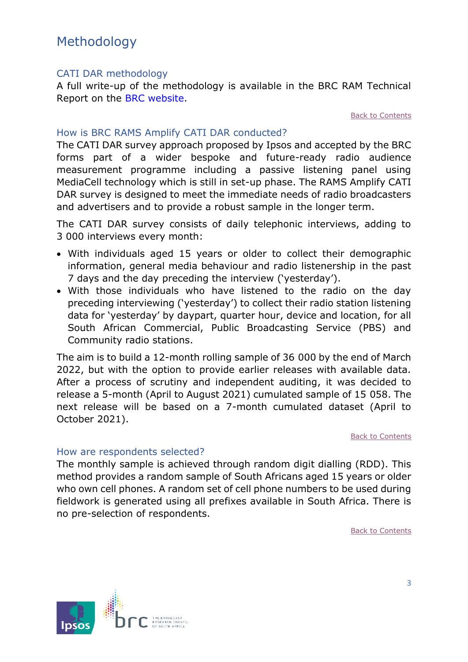## <span id="page-2-0"></span>Methodology

#### <span id="page-2-1"></span>CATI DAR methodology

A full write-up of the methodology is available in the BRC RAM Technical Report on the BRC website.

[Back to Contents](#page-1-0)

#### <span id="page-2-2"></span>How is BRC RAMS Amplify CATI DAR conducted?

The CATI DAR survey approach proposed by Ipsos and accepted by the BRC forms part of a wider bespoke and future-ready radio audience measurement programme including a passive listening panel using MediaCell technology which is still in set-up phase. The RAMS Amplify CATI DAR survey is designed to meet the immediate needs of radio broadcasters and advertisers and to provide a robust sample in the longer term.

The CATI DAR survey consists of daily telephonic interviews, adding to 3 000 interviews every month:

- With individuals aged 15 years or older to collect their demographic information, general media behaviour and radio listenership in the past 7 days and the day preceding the interview ('yesterday').
- With those individuals who have listened to the radio on the day preceding interviewing ('yesterday') to collect their radio station listening data for 'yesterday' by daypart, quarter hour, device and location, for all South African Commercial, Public Broadcasting Service (PBS) and Community radio stations.

The aim is to build a 12-month rolling sample of 36 000 by the end of March 2022, but with the option to provide earlier releases with available data. After a process of scrutiny and independent auditing, it was decided to release a 5-month (April to August 2021) cumulated sample of 15 058. The next release will be based on a 7-month cumulated dataset (April to October 2021).

[Back to Contents](#page-1-0)

#### <span id="page-2-3"></span>How are respondents selected?

The monthly sample is achieved through random digit dialling (RDD). This method provides a random sample of South Africans aged 15 years or older who own cell phones. A random set of cell phone numbers to be used during fieldwork is generated using all prefixes available in South Africa. There is no pre-selection of respondents.

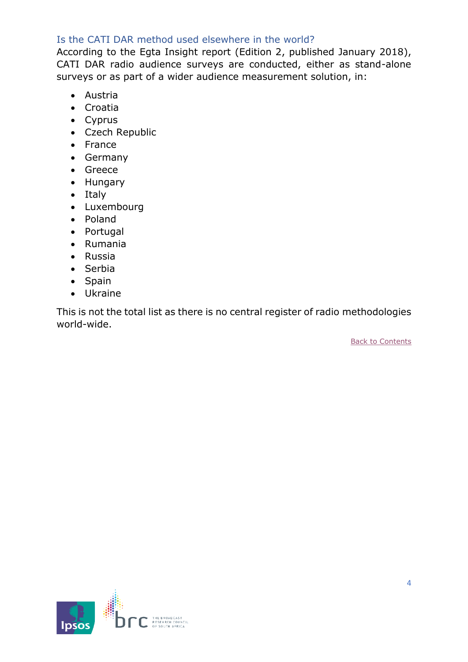#### <span id="page-3-0"></span>Is the CATI DAR method used elsewhere in the world?

According to the Egta Insight report (Edition 2, published January 2018), CATI DAR radio audience surveys are conducted, either as stand-alone surveys or as part of a wider audience measurement solution, in:

- Austria
- Croatia
- Cyprus
- Czech Republic
- France
- Germany
- Greece
- Hungary
- Italy
- Luxembourg
- Poland
- Portugal
- Rumania
- Russia
- Serbia
- Spain
- Ukraine

This is not the total list as there is no central register of radio methodologies world-wide.

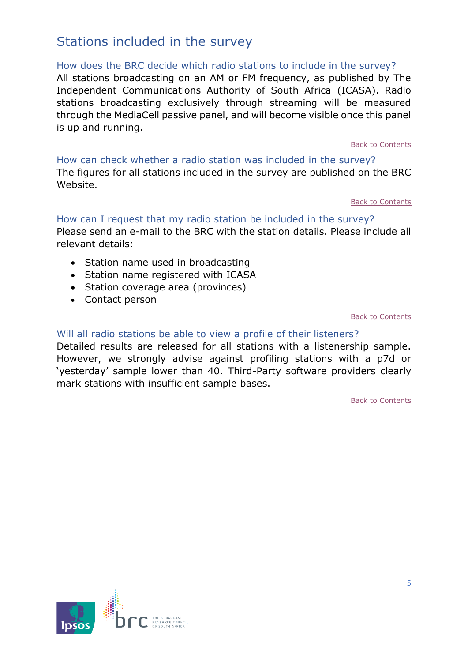## <span id="page-4-0"></span>Stations included in the survey

<span id="page-4-1"></span>How does the BRC decide which radio stations to include in the survey? All stations broadcasting on an AM or FM frequency, as published by The Independent Communications Authority of South Africa (ICASA). Radio stations broadcasting exclusively through streaming will be measured through the MediaCell passive panel, and will become visible once this panel is up and running.

[Back to Contents](#page-1-0)

<span id="page-4-2"></span>How can check whether a radio station was included in the survey? The figures for all stations included in the survey are published on the BRC Website.

[Back to Contents](#page-1-0)

#### <span id="page-4-3"></span>How can I request that my radio station be included in the survey?

Please send an e-mail to the BRC with the station details. Please include all relevant details:

- Station name used in broadcasting
- Station name registered with ICASA
- Station coverage area (provinces)
- Contact person

[Back to Contents](#page-1-0)

#### <span id="page-4-4"></span>Will all radio stations be able to view a profile of their listeners?

Detailed results are released for all stations with a listenership sample. However, we strongly advise against profiling stations with a p7d or 'yesterday' sample lower than 40. Third-Party software providers clearly mark stations with insufficient sample bases.

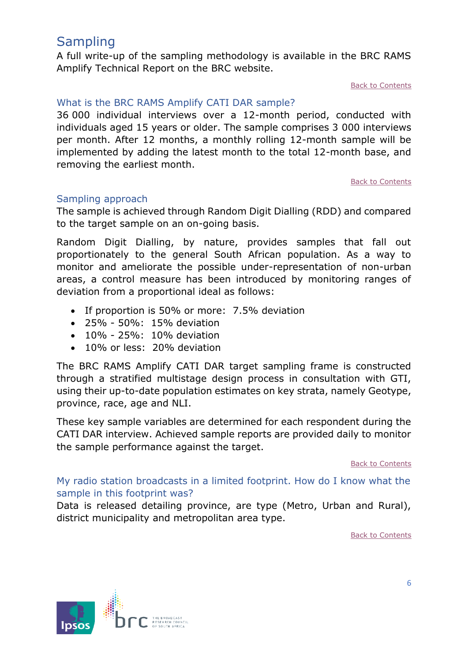## <span id="page-5-0"></span>**Sampling**

A full write-up of the sampling methodology is available in the BRC RAMS Amplify Technical Report on the BRC website.

[Back to Contents](#page-1-0)

#### <span id="page-5-1"></span>What is the BRC RAMS Amplify CATI DAR sample?

36 000 individual interviews over a 12-month period, conducted with individuals aged 15 years or older. The sample comprises 3 000 interviews per month. After 12 months, a monthly rolling 12-month sample will be implemented by adding the latest month to the total 12-month base, and removing the earliest month.

[Back to Contents](#page-1-0)

#### <span id="page-5-2"></span>Sampling approach

The sample is achieved through Random Digit Dialling (RDD) and compared to the target sample on an on-going basis.

Random Digit Dialling, by nature, provides samples that fall out proportionately to the general South African population. As a way to monitor and ameliorate the possible under-representation of non-urban areas, a control measure has been introduced by monitoring ranges of deviation from a proportional ideal as follows:

- If proportion is 50% or more: 7.5% deviation
- 25% 50%: 15% deviation
- 10% 25%: 10% deviation
- 10% or less: 20% deviation

The BRC RAMS Amplify CATI DAR target sampling frame is constructed through a stratified multistage design process in consultation with GTI, using their up-to-date population estimates on key strata, namely Geotype, province, race, age and NLI.

These key sample variables are determined for each respondent during the CATI DAR interview. Achieved sample reports are provided daily to monitor the sample performance against the target.

[Back to Contents](#page-1-0)

<span id="page-5-3"></span>My radio station broadcasts in a limited footprint. How do I know what the sample in this footprint was?

Data is released detailing province, are type (Metro, Urban and Rural), district municipality and metropolitan area type.

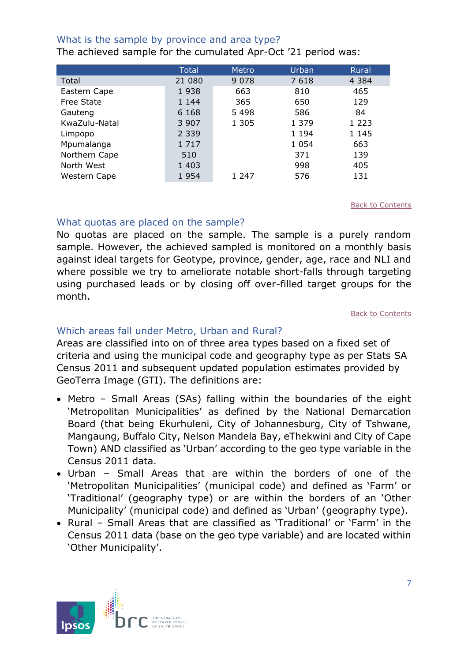#### <span id="page-6-0"></span>What is the sample by province and area type?

The achieved sample for the cumulated Apr-Oct '21 period was:

|                   | <b>Total</b> | Metro   | Urban   | <b>Rural</b> |
|-------------------|--------------|---------|---------|--------------|
| Total             | 21 080       | 9 0 7 8 | 7618    | 4 3 8 4      |
| Eastern Cape      | 1938         | 663     | 810     | 465          |
| <b>Free State</b> | 1 1 4 4      | 365     | 650     | 129          |
| Gauteng           | 6 1 6 8      | 5 4 9 8 | 586     | 84           |
| KwaZulu-Natal     | 3 907        | 1 3 0 5 | 1 3 7 9 | 1 2 2 3      |
| Limpopo           | 2 3 3 9      |         | 1 1 9 4 | 1 1 4 5      |
| Mpumalanga        | 1 7 1 7      |         | 1 0 5 4 | 663          |
| Northern Cape     | 510          |         | 371     | 139          |
| North West        | 1 4 0 3      |         | 998     | 405          |
| Western Cape      | 1954         | 1 247   | 576     | 131          |

[Back to Contents](#page-1-0)

#### <span id="page-6-1"></span>What quotas are placed on the sample?

No quotas are placed on the sample. The sample is a purely random sample. However, the achieved sampled is monitored on a monthly basis against ideal targets for Geotype, province, gender, age, race and NLI and where possible we try to ameliorate notable short-falls through targeting using purchased leads or by closing off over-filled target groups for the month.

[Back to Contents](#page-1-0)

#### <span id="page-6-2"></span>Which areas fall under Metro, Urban and Rural?

Areas are classified into on of three area types based on a fixed set of criteria and using the municipal code and geography type as per Stats SA Census 2011 and subsequent updated population estimates provided by GeoTerra Image (GTI). The definitions are:

- Metro Small Areas (SAs) falling within the boundaries of the eight 'Metropolitan Municipalities' as defined by the National Demarcation Board (that being Ekurhuleni, City of Johannesburg, City of Tshwane, Mangaung, Buffalo City, Nelson Mandela Bay, eThekwini and City of Cape Town) AND classified as 'Urban' according to the geo type variable in the Census 2011 data.
- Urban Small Areas that are within the borders of one of the 'Metropolitan Municipalities' (municipal code) and defined as 'Farm' or 'Traditional' (geography type) or are within the borders of an 'Other Municipality' (municipal code) and defined as 'Urban' (geography type).
- Rural Small Areas that are classified as 'Traditional' or 'Farm' in the Census 2011 data (base on the geo type variable) and are located within 'Other Municipality'.

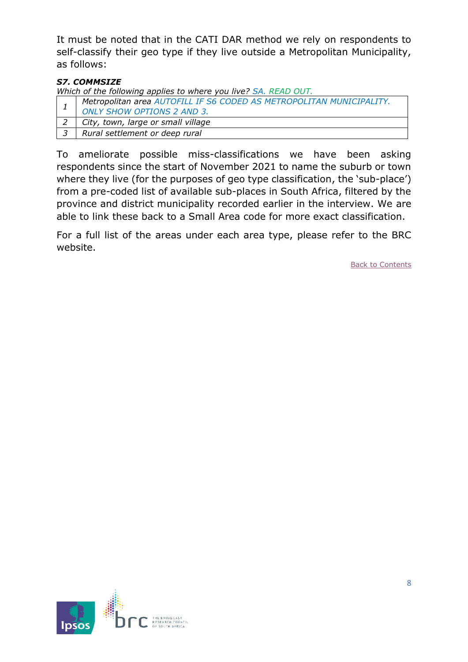It must be noted that in the CATI DAR method we rely on respondents to self-classify their geo type if they live outside a Metropolitan Municipality, as follows:

#### *S7. COMMSIZE*

*Which of the following applies to where you live? SA. READ OUT.*

| Metropolitan area AUTOFILL IF S6 CODED AS METROPOLITAN MUNICIPALITY.<br><b>ONLY SHOW OPTIONS 2 AND 3.</b> |
|-----------------------------------------------------------------------------------------------------------|
| City, town, large or small village                                                                        |
| Rural settlement or deep rural                                                                            |

To ameliorate possible miss-classifications we have been asking respondents since the start of November 2021 to name the suburb or town where they live (for the purposes of geo type classification, the 'sub-place') from a pre-coded list of available sub-places in South Africa, filtered by the province and district municipality recorded earlier in the interview. We are able to link these back to a Small Area code for more exact classification.

For a full list of the areas under each area type, please refer to the BRC website.

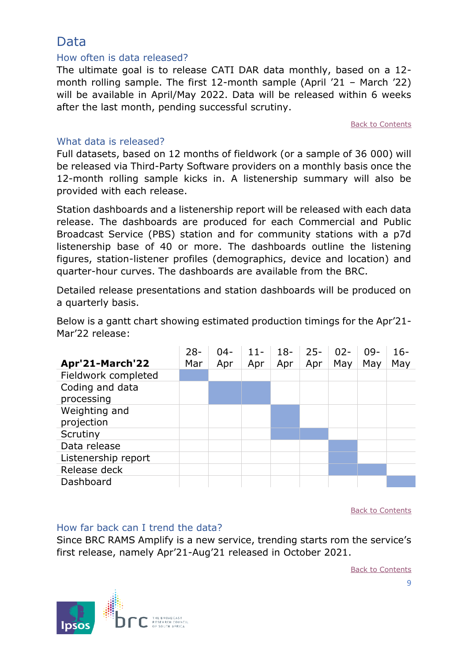## <span id="page-8-0"></span>Data

#### <span id="page-8-1"></span>How often is data released?

The ultimate goal is to release CATI DAR data monthly, based on a 12 month rolling sample. The first 12-month sample (April '21 – March '22) will be available in April/May 2022. Data will be released within 6 weeks after the last month, pending successful scrutiny.

[Back to Contents](#page-1-0)

#### <span id="page-8-2"></span>What data is released?

Full datasets, based on 12 months of fieldwork (or a sample of 36 000) will be released via Third-Party Software providers on a monthly basis once the 12-month rolling sample kicks in. A listenership summary will also be provided with each release.

Station dashboards and a listenership report will be released with each data release. The dashboards are produced for each Commercial and Public Broadcast Service (PBS) station and for community stations with a p7d listenership base of 40 or more. The dashboards outline the listening figures, station-listener profiles (demographics, device and location) and quarter-hour curves. The dashboards are available from the BRC.

Detailed release presentations and station dashboards will be produced on a quarterly basis.

Below is a gantt chart showing estimated production timings for the Apr'21- Mar'22 release:

| Apr'21-March'22               | $28 -$<br>Mar | $04 -$<br>Apr | $11 -$<br>Apr | $18 -$<br>Apr | $25 -$<br>Apr | $02 -$<br>May | $09 -$<br>May | $16 -$<br>May |
|-------------------------------|---------------|---------------|---------------|---------------|---------------|---------------|---------------|---------------|
| Fieldwork completed           |               |               |               |               |               |               |               |               |
| Coding and data<br>processing |               |               |               |               |               |               |               |               |
| Weighting and<br>projection   |               |               |               |               |               |               |               |               |
| Scrutiny                      |               |               |               |               |               |               |               |               |
| Data release                  |               |               |               |               |               |               |               |               |
| Listenership report           |               |               |               |               |               |               |               |               |
| Release deck                  |               |               |               |               |               |               |               |               |
| Dashboard                     |               |               |               |               |               |               |               |               |

[Back to Contents](#page-1-0)

#### <span id="page-8-3"></span>How far back can I trend the data?

Since BRC RAMS Amplify is a new service, trending starts rom the service's first release, namely Apr'21-Aug'21 released in October 2021.



[Back to Contents](#page-1-0)

9